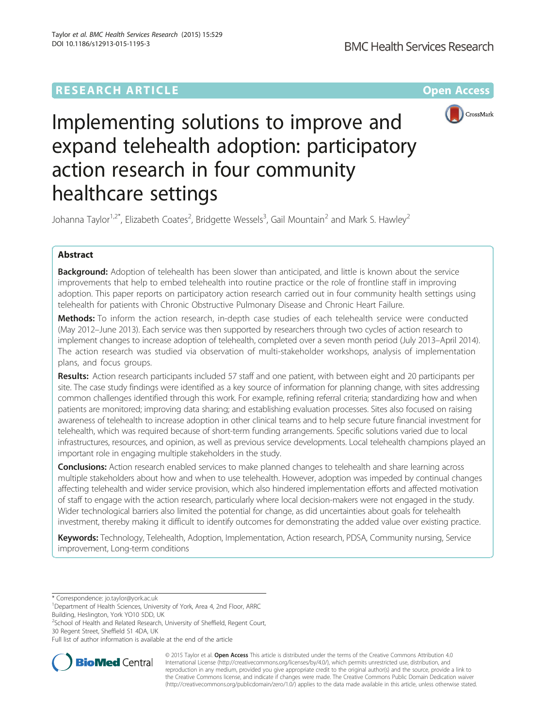# **RESEARCH ARTICLE Example 2008 12:00 PM Access**



# Implementing solutions to improve and expand telehealth adoption: participatory action research in four community healthcare settings

Johanna Taylor<sup>1,2\*</sup>, Elizabeth Coates<sup>2</sup>, Bridgette Wessels<sup>3</sup>, Gail Mountain<sup>2</sup> and Mark S. Hawley<sup>2</sup>

# Abstract

**Background:** Adoption of telehealth has been slower than anticipated, and little is known about the service improvements that help to embed telehealth into routine practice or the role of frontline staff in improving adoption. This paper reports on participatory action research carried out in four community health settings using telehealth for patients with Chronic Obstructive Pulmonary Disease and Chronic Heart Failure.

Methods: To inform the action research, in-depth case studies of each telehealth service were conducted (May 2012–June 2013). Each service was then supported by researchers through two cycles of action research to implement changes to increase adoption of telehealth, completed over a seven month period (July 2013–April 2014). The action research was studied via observation of multi-stakeholder workshops, analysis of implementation plans, and focus groups.

Results: Action research participants included 57 staff and one patient, with between eight and 20 participants per site. The case study findings were identified as a key source of information for planning change, with sites addressing common challenges identified through this work. For example, refining referral criteria; standardizing how and when patients are monitored; improving data sharing; and establishing evaluation processes. Sites also focused on raising awareness of telehealth to increase adoption in other clinical teams and to help secure future financial investment for telehealth, which was required because of short-term funding arrangements. Specific solutions varied due to local infrastructures, resources, and opinion, as well as previous service developments. Local telehealth champions played an important role in engaging multiple stakeholders in the study.

**Conclusions:** Action research enabled services to make planned changes to telehealth and share learning across multiple stakeholders about how and when to use telehealth. However, adoption was impeded by continual changes affecting telehealth and wider service provision, which also hindered implementation efforts and affected motivation of staff to engage with the action research, particularly where local decision-makers were not engaged in the study. Wider technological barriers also limited the potential for change, as did uncertainties about goals for telehealth investment, thereby making it difficult to identify outcomes for demonstrating the added value over existing practice.

Keywords: Technology, Telehealth, Adoption, Implementation, Action research, PDSA, Community nursing, Service improvement, Long-term conditions

\* Correspondence: [jo.taylor@york.ac.uk](mailto:jo.taylor@york.ac.uk) <sup>1</sup>

<sup>1</sup>Department of Health Sciences, University of York, Area 4, 2nd Floor, ARRC Building, Heslington, York YO10 5DD, UK

<sup>2</sup>School of Health and Related Research, University of Sheffield, Regent Court, 30 Regent Street, Sheffield S1 4DA, UK

Full list of author information is available at the end of the article



© 2015 Taylor et al. Open Access This article is distributed under the terms of the Creative Commons Attribution 4.0 International License [\(http://creativecommons.org/licenses/by/4.0/](http://creativecommons.org/licenses/by/4.0/)), which permits unrestricted use, distribution, and reproduction in any medium, provided you give appropriate credit to the original author(s) and the source, provide a link to the Creative Commons license, and indicate if changes were made. The Creative Commons Public Domain Dedication waiver [\(http://creativecommons.org/publicdomain/zero/1.0/](http://creativecommons.org/publicdomain/zero/1.0/)) applies to the data made available in this article, unless otherwise stated.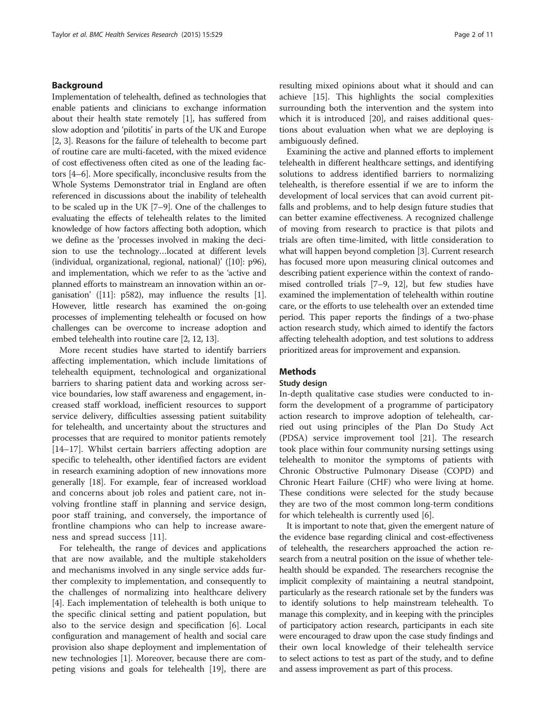# Background

Implementation of telehealth, defined as technologies that enable patients and clinicians to exchange information about their health state remotely [\[1](#page-9-0)], has suffered from slow adoption and 'pilotitis' in parts of the UK and Europe [[2, 3](#page-9-0)]. Reasons for the failure of telehealth to become part of routine care are multi-faceted, with the mixed evidence of cost effectiveness often cited as one of the leading factors [\[4](#page-9-0)–[6](#page-9-0)]. More specifically, inconclusive results from the Whole Systems Demonstrator trial in England are often referenced in discussions about the inability of telehealth to be scaled up in the UK [\[7](#page-9-0)–[9](#page-9-0)]. One of the challenges to evaluating the effects of telehealth relates to the limited knowledge of how factors affecting both adoption, which we define as the 'processes involved in making the decision to use the technology…located at different levels (individual, organizational, regional, national)' ([\[10\]](#page-9-0): p96), and implementation, which we refer to as the 'active and planned efforts to mainstream an innovation within an organisation' ([\[11\]](#page-9-0): p582), may influence the results [[1](#page-9-0)]. However, little research has examined the on-going processes of implementing telehealth or focused on how challenges can be overcome to increase adoption and embed telehealth into routine care [\[2](#page-9-0), [12](#page-9-0), [13\]](#page-9-0).

More recent studies have started to identify barriers affecting implementation, which include limitations of telehealth equipment, technological and organizational barriers to sharing patient data and working across service boundaries, low staff awareness and engagement, increased staff workload, inefficient resources to support service delivery, difficulties assessing patient suitability for telehealth, and uncertainty about the structures and processes that are required to monitor patients remotely [[14](#page-9-0)–[17](#page-9-0)]. Whilst certain barriers affecting adoption are specific to telehealth, other identified factors are evident in research examining adoption of new innovations more generally [\[18\]](#page-9-0). For example, fear of increased workload and concerns about job roles and patient care, not involving frontline staff in planning and service design, poor staff training, and conversely, the importance of frontline champions who can help to increase awareness and spread success [\[11](#page-9-0)].

For telehealth, the range of devices and applications that are now available, and the multiple stakeholders and mechanisms involved in any single service adds further complexity to implementation, and consequently to the challenges of normalizing into healthcare delivery [[4\]](#page-9-0). Each implementation of telehealth is both unique to the specific clinical setting and patient population, but also to the service design and specification [\[6](#page-9-0)]. Local configuration and management of health and social care provision also shape deployment and implementation of new technologies [[1\]](#page-9-0). Moreover, because there are competing visions and goals for telehealth [\[19](#page-9-0)], there are

resulting mixed opinions about what it should and can achieve [[15\]](#page-9-0). This highlights the social complexities surrounding both the intervention and the system into which it is introduced [[20\]](#page-9-0), and raises additional questions about evaluation when what we are deploying is ambiguously defined.

Examining the active and planned efforts to implement telehealth in different healthcare settings, and identifying solutions to address identified barriers to normalizing telehealth, is therefore essential if we are to inform the development of local services that can avoid current pitfalls and problems, and to help design future studies that can better examine effectiveness. A recognized challenge of moving from research to practice is that pilots and trials are often time-limited, with little consideration to what will happen beyond completion [\[3](#page-9-0)]. Current research has focused more upon measuring clinical outcomes and describing patient experience within the context of randomised controlled trials [\[7](#page-9-0)–[9, 12\]](#page-9-0), but few studies have examined the implementation of telehealth within routine care, or the efforts to use telehealth over an extended time period. This paper reports the findings of a two-phase action research study, which aimed to identify the factors affecting telehealth adoption, and test solutions to address prioritized areas for improvement and expansion.

# **Methods**

## Study design

In-depth qualitative case studies were conducted to inform the development of a programme of participatory action research to improve adoption of telehealth, carried out using principles of the Plan Do Study Act (PDSA) service improvement tool [\[21](#page-9-0)]. The research took place within four community nursing settings using telehealth to monitor the symptoms of patients with Chronic Obstructive Pulmonary Disease (COPD) and Chronic Heart Failure (CHF) who were living at home. These conditions were selected for the study because they are two of the most common long-term conditions for which telehealth is currently used [\[6](#page-9-0)].

It is important to note that, given the emergent nature of the evidence base regarding clinical and cost-effectiveness of telehealth, the researchers approached the action research from a neutral position on the issue of whether telehealth should be expanded. The researchers recognise the implicit complexity of maintaining a neutral standpoint, particularly as the research rationale set by the funders was to identify solutions to help mainstream telehealth. To manage this complexity, and in keeping with the principles of participatory action research, participants in each site were encouraged to draw upon the case study findings and their own local knowledge of their telehealth service to select actions to test as part of the study, and to define and assess improvement as part of this process.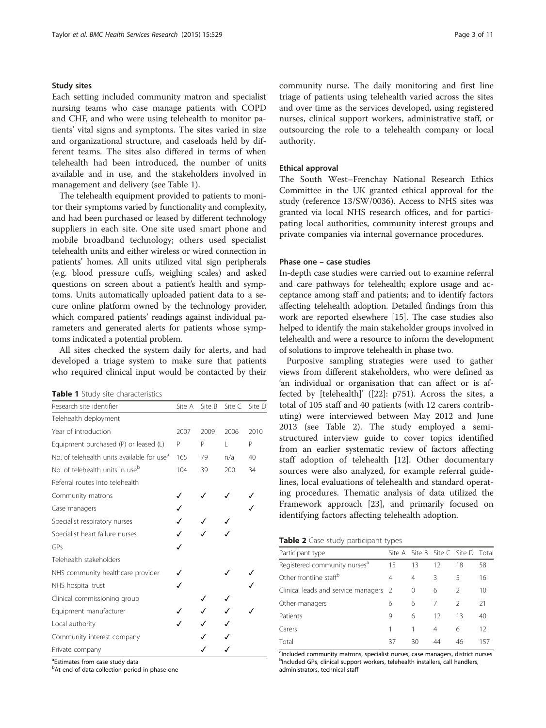# Study sites

Each setting included community matron and specialist nursing teams who case manage patients with COPD and CHF, and who were using telehealth to monitor patients' vital signs and symptoms. The sites varied in size and organizational structure, and caseloads held by different teams. The sites also differed in terms of when telehealth had been introduced, the number of units available and in use, and the stakeholders involved in management and delivery (see Table 1).

The telehealth equipment provided to patients to monitor their symptoms varied by functionality and complexity, and had been purchased or leased by different technology suppliers in each site. One site used smart phone and mobile broadband technology; others used specialist telehealth units and either wireless or wired connection in patients' homes. All units utilized vital sign peripherals (e.g. blood pressure cuffs, weighing scales) and asked questions on screen about a patient's health and symptoms. Units automatically uploaded patient data to a secure online platform owned by the technology provider, which compared patients' readings against individual parameters and generated alerts for patients whose symptoms indicated a potential problem.

All sites checked the system daily for alerts, and had developed a triage system to make sure that patients who required clinical input would be contacted by their

| Table 1 Study site characteristics |  |
|------------------------------------|--|
|------------------------------------|--|

| Research site identifier                               | Site A | Site B | Site C | Site D |
|--------------------------------------------------------|--------|--------|--------|--------|
| Telehealth deployment                                  |        |        |        |        |
| Year of introduction                                   | 2007   | 2009   | 2006   | 2010   |
| Equipment purchased (P) or leased (L)                  | P      | Ρ      | L      | P      |
| No. of telehealth units available for use <sup>a</sup> | 165    | 79     | n/a    | 40     |
| No. of telehealth units in use <sup>b</sup>            | 104    | 39     | 200    | 34     |
| Referral routes into telehealth                        |        |        |        |        |
| Community matrons                                      | ℐ      |        |        |        |
| Case managers                                          |        |        |        |        |
| Specialist respiratory nurses                          |        |        |        |        |
| Specialist heart failure nurses                        |        |        |        |        |
| GPs                                                    | ✓      |        |        |        |
| Telehealth stakeholders                                |        |        |        |        |
| NHS community healthcare provider                      |        |        |        |        |
| NHS hospital trust                                     |        |        |        |        |
| Clinical commissioning group                           |        |        |        |        |
| Equipment manufacturer                                 |        |        |        |        |
| Local authority                                        |        |        |        |        |
| Community interest company                             |        |        |        |        |
| Private company                                        |        |        |        |        |

<sup>a</sup>Estimates from case study data

<sup>b</sup>At end of data collection period in phase one

community nurse. The daily monitoring and first line triage of patients using telehealth varied across the sites and over time as the services developed, using registered nurses, clinical support workers, administrative staff, or outsourcing the role to a telehealth company or local authority.

## Ethical approval

The South West–Frenchay National Research Ethics Committee in the UK granted ethical approval for the study (reference 13/SW/0036). Access to NHS sites was granted via local NHS research offices, and for participating local authorities, community interest groups and private companies via internal governance procedures.

# Phase one – case studies

In-depth case studies were carried out to examine referral and care pathways for telehealth; explore usage and acceptance among staff and patients; and to identify factors affecting telehealth adoption. Detailed findings from this work are reported elsewhere [[15](#page-9-0)]. The case studies also helped to identify the main stakeholder groups involved in telehealth and were a resource to inform the development of solutions to improve telehealth in phase two.

Purposive sampling strategies were used to gather views from different stakeholders, who were defined as 'an individual or organisation that can affect or is affected by [telehealth]' ([\[22\]](#page-9-0): p751). Across the sites, a total of 105 staff and 40 patients (with 12 carers contributing) were interviewed between May 2012 and June 2013 (see Table 2). The study employed a semistructured interview guide to cover topics identified from an earlier systematic review of factors affecting staff adoption of telehealth [\[12](#page-9-0)]. Other documentary sources were also analyzed, for example referral guidelines, local evaluations of telehealth and standard operating procedures. Thematic analysis of data utilized the Framework approach [[23](#page-9-0)], and primarily focused on identifying factors affecting telehealth adoption.

|  |  |  | Table 2 Case study participant types |  |
|--|--|--|--------------------------------------|--|
|--|--|--|--------------------------------------|--|

| Participant type                         |    |    |    | Site A Site B Site C Site D Total |     |
|------------------------------------------|----|----|----|-----------------------------------|-----|
| Registered community nurses <sup>a</sup> | 15 | 13 | 12 | 18                                | 58  |
| Other frontline staff <sup>b</sup>       | 4  | 4  | 3  | 5                                 | 16  |
| Clinical leads and service managers 2    |    | 0  | 6  | 2                                 | 10  |
| Other managers                           | 6  | 6  |    | 2                                 | 21  |
| Patients                                 | 9  | 6  | 12 | 13                                | 40  |
| Carers                                   |    | 1  | 4  | 6                                 | 12  |
| Total                                    | 37 | 30 | 44 | 46                                | 157 |

<sup>a</sup>Included community matrons, specialist nurses, case managers, district nurses <sup>b</sup>Included GPs, clinical support workers, telehealth installers, call handlers, administrators, technical staff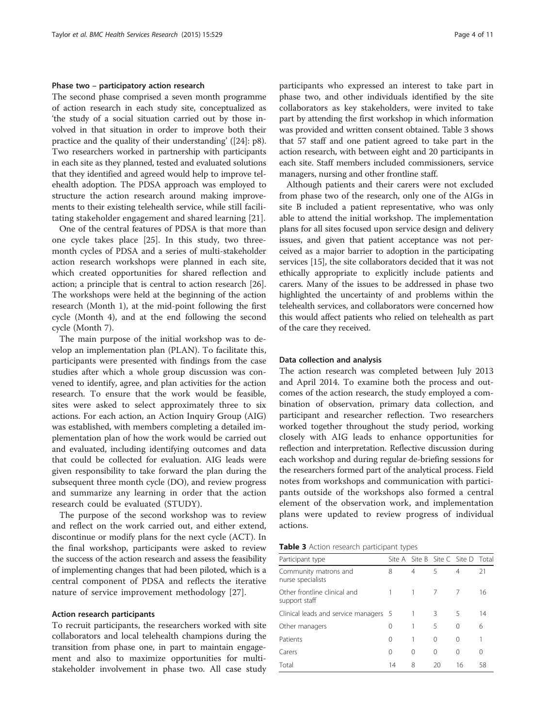#### Phase two – participatory action research

The second phase comprised a seven month programme of action research in each study site, conceptualized as 'the study of a social situation carried out by those involved in that situation in order to improve both their practice and the quality of their understanding' ([\[24](#page-9-0)]: p8). Two researchers worked in partnership with participants in each site as they planned, tested and evaluated solutions that they identified and agreed would help to improve telehealth adoption. The PDSA approach was employed to structure the action research around making improvements to their existing telehealth service, while still facilitating stakeholder engagement and shared learning [\[21](#page-9-0)].

One of the central features of PDSA is that more than one cycle takes place [[25](#page-9-0)]. In this study, two threemonth cycles of PDSA and a series of multi-stakeholder action research workshops were planned in each site, which created opportunities for shared reflection and action; a principle that is central to action research [\[26](#page-9-0)]. The workshops were held at the beginning of the action research (Month 1), at the mid-point following the first cycle (Month 4), and at the end following the second cycle (Month 7).

The main purpose of the initial workshop was to develop an implementation plan (PLAN). To facilitate this, participants were presented with findings from the case studies after which a whole group discussion was convened to identify, agree, and plan activities for the action research. To ensure that the work would be feasible, sites were asked to select approximately three to six actions. For each action, an Action Inquiry Group (AIG) was established, with members completing a detailed implementation plan of how the work would be carried out and evaluated, including identifying outcomes and data that could be collected for evaluation. AIG leads were given responsibility to take forward the plan during the subsequent three month cycle (DO), and review progress and summarize any learning in order that the action research could be evaluated (STUDY).

The purpose of the second workshop was to review and reflect on the work carried out, and either extend, discontinue or modify plans for the next cycle (ACT). In the final workshop, participants were asked to review the success of the action research and assess the feasibility of implementing changes that had been piloted, which is a central component of PDSA and reflects the iterative nature of service improvement methodology [\[27](#page-9-0)].

# Action research participants

To recruit participants, the researchers worked with site collaborators and local telehealth champions during the transition from phase one, in part to maintain engagement and also to maximize opportunities for multistakeholder involvement in phase two. All case study

participants who expressed an interest to take part in phase two, and other individuals identified by the site collaborators as key stakeholders, were invited to take part by attending the first workshop in which information was provided and written consent obtained. Table 3 shows that 57 staff and one patient agreed to take part in the action research, with between eight and 20 participants in each site. Staff members included commissioners, service managers, nursing and other frontline staff.

Although patients and their carers were not excluded from phase two of the research, only one of the AIGs in site B included a patient representative, who was only able to attend the initial workshop. The implementation plans for all sites focused upon service design and delivery issues, and given that patient acceptance was not perceived as a major barrier to adoption in the participating services [[15](#page-9-0)], the site collaborators decided that it was not ethically appropriate to explicitly include patients and carers. Many of the issues to be addressed in phase two highlighted the uncertainty of and problems within the telehealth services, and collaborators were concerned how this would affect patients who relied on telehealth as part of the care they received.

## Data collection and analysis

The action research was completed between July 2013 and April 2014. To examine both the process and outcomes of the action research, the study employed a combination of observation, primary data collection, and participant and researcher reflection. Two researchers worked together throughout the study period, working closely with AIG leads to enhance opportunities for reflection and interpretation. Reflective discussion during each workshop and during regular de-briefing sessions for the researchers formed part of the analytical process. Field notes from workshops and communication with participants outside of the workshops also formed a central element of the observation work, and implementation plans were updated to review progress of individual actions.

|  |  |  | Table 3 Action research participant types |  |
|--|--|--|-------------------------------------------|--|
|--|--|--|-------------------------------------------|--|

| Participant type                              |    |   |    | Site A Site B Site C Site D Total |    |
|-----------------------------------------------|----|---|----|-----------------------------------|----|
| Community matrons and<br>nurse specialists    | 8  | 4 | 5  | 4                                 | 21 |
| Other frontline clinical and<br>support staff |    |   | 7  |                                   | 16 |
| Clinical leads and service managers 5         |    |   | 3  | 5                                 | 14 |
| Other managers                                | 0  |   | 5  | 0                                 | 6  |
| Patients                                      | 0  |   | 0  | 0                                 |    |
| Carers                                        | 0  | 0 | 0  | 0                                 | 0  |
| Total                                         | 14 | 8 | 20 | 16                                | 58 |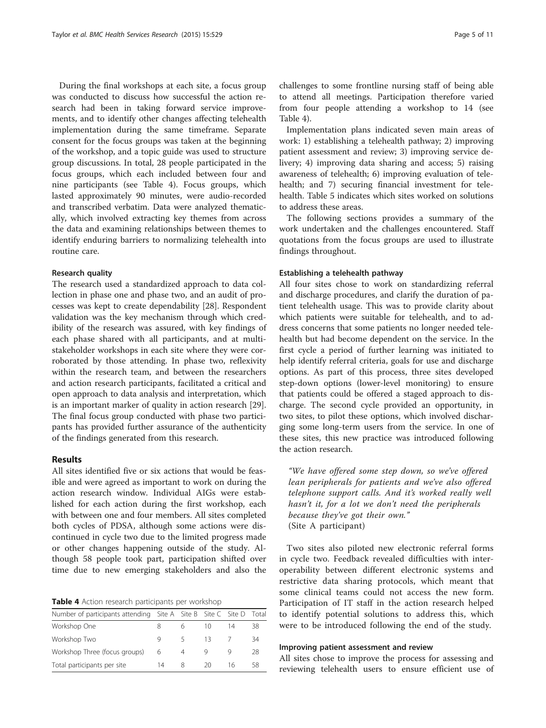During the final workshops at each site, a focus group was conducted to discuss how successful the action research had been in taking forward service improvements, and to identify other changes affecting telehealth implementation during the same timeframe. Separate consent for the focus groups was taken at the beginning of the workshop, and a topic guide was used to structure group discussions. In total, 28 people participated in the focus groups, which each included between four and nine participants (see Table 4). Focus groups, which lasted approximately 90 minutes, were audio-recorded and transcribed verbatim. Data were analyzed thematically, which involved extracting key themes from across the data and examining relationships between themes to identify enduring barriers to normalizing telehealth into routine care.

# Research quality

The research used a standardized approach to data collection in phase one and phase two, and an audit of processes was kept to create dependability [[28\]](#page-9-0). Respondent validation was the key mechanism through which credibility of the research was assured, with key findings of each phase shared with all participants, and at multistakeholder workshops in each site where they were corroborated by those attending. In phase two, reflexivity within the research team, and between the researchers and action research participants, facilitated a critical and open approach to data analysis and interpretation, which is an important marker of quality in action research [\[29](#page-9-0)]. The final focus group conducted with phase two participants has provided further assurance of the authenticity of the findings generated from this research.

# Results

All sites identified five or six actions that would be feasible and were agreed as important to work on during the action research window. Individual AIGs were established for each action during the first workshop, each with between one and four members. All sites completed both cycles of PDSA, although some actions were discontinued in cycle two due to the limited progress made or other changes happening outside of the study. Although 58 people took part, participation shifted over time due to new emerging stakeholders and also the

Table 4 Action research participants per workshop

| Number of participants attending Site A Site B Site C Site D Total |    |        |     |    |    |
|--------------------------------------------------------------------|----|--------|-----|----|----|
| Workshop One                                                       |    | h      | 1() | 14 | 38 |
| Workshop Two                                                       |    | $\sim$ | 13  |    | 34 |
| Workshop Three (focus groups)                                      | 6  | 4      |     |    | 28 |
| Total participants per site                                        | 14 | 8      | 20  | 16 | 58 |

challenges to some frontline nursing staff of being able to attend all meetings. Participation therefore varied from four people attending a workshop to 14 (see Table 4).

Implementation plans indicated seven main areas of work: 1) establishing a telehealth pathway; 2) improving patient assessment and review; 3) improving service delivery; 4) improving data sharing and access; 5) raising awareness of telehealth; 6) improving evaluation of telehealth; and 7) securing financial investment for telehealth. Table [5](#page-5-0) indicates which sites worked on solutions to address these areas.

The following sections provides a summary of the work undertaken and the challenges encountered. Staff quotations from the focus groups are used to illustrate findings throughout.

#### Establishing a telehealth pathway

All four sites chose to work on standardizing referral and discharge procedures, and clarify the duration of patient telehealth usage. This was to provide clarity about which patients were suitable for telehealth, and to address concerns that some patients no longer needed telehealth but had become dependent on the service. In the first cycle a period of further learning was initiated to help identify referral criteria, goals for use and discharge options. As part of this process, three sites developed step-down options (lower-level monitoring) to ensure that patients could be offered a staged approach to discharge. The second cycle provided an opportunity, in two sites, to pilot these options, which involved discharging some long-term users from the service. In one of these sites, this new practice was introduced following the action research.

"We have offered some step down, so we've offered lean peripherals for patients and we've also offered telephone support calls. And it's worked really well hasn't it, for a lot we don't need the peripherals because they've got their own." (Site A participant)

Two sites also piloted new electronic referral forms in cycle two. Feedback revealed difficulties with interoperability between different electronic systems and restrictive data sharing protocols, which meant that some clinical teams could not access the new form. Participation of IT staff in the action research helped to identify potential solutions to address this, which were to be introduced following the end of the study.

#### Improving patient assessment and review

All sites chose to improve the process for assessing and reviewing telehealth users to ensure efficient use of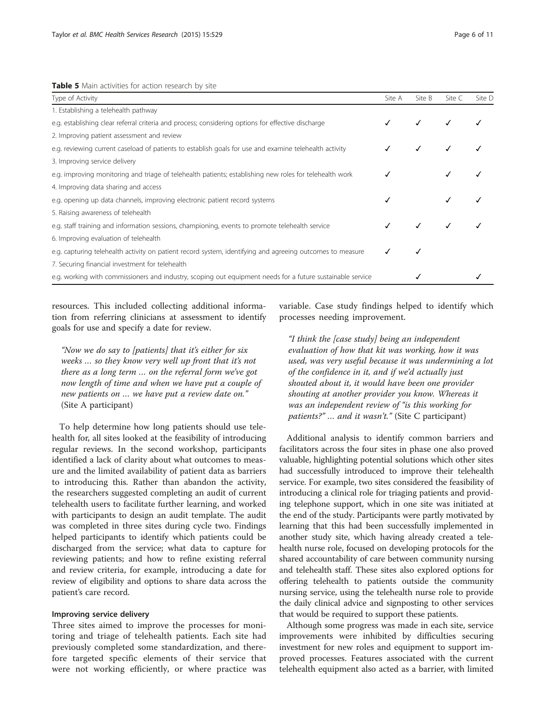<span id="page-5-0"></span>

|  |  | Table 5 Main activities for action research by site |  |  |  |  |  |
|--|--|-----------------------------------------------------|--|--|--|--|--|
|--|--|-----------------------------------------------------|--|--|--|--|--|

| Type of Activity                                                                                           | Site A | Site B | Site C | Site D |
|------------------------------------------------------------------------------------------------------------|--------|--------|--------|--------|
| 1. Establishing a telehealth pathway                                                                       |        |        |        |        |
| e.g. establishing clear referral criteria and process; considering options for effective discharge         |        |        |        |        |
| 2. Improving patient assessment and review                                                                 |        |        |        |        |
| e.g. reviewing current caseload of patients to establish goals for use and examine telehealth activity     |        |        |        |        |
| 3. Improving service delivery                                                                              |        |        |        |        |
| e.g. improving monitoring and triage of telehealth patients; establishing new roles for telehealth work    | √      |        |        |        |
| 4. Improving data sharing and access                                                                       |        |        |        |        |
| e.g. opening up data channels, improving electronic patient record systems                                 |        |        |        |        |
| 5. Raising awareness of telehealth                                                                         |        |        |        |        |
| e.g. staff training and information sessions, championing, events to promote telehealth service            |        |        |        |        |
| 6. Improving evaluation of telehealth                                                                      |        |        |        |        |
| e.g. capturing telehealth activity on patient record system, identifying and agreeing outcomes to measure  |        |        |        |        |
| 7. Securing financial investment for telehealth                                                            |        |        |        |        |
| e.g. working with commissioners and industry, scoping out equipment needs for a future sustainable service |        |        |        |        |

resources. This included collecting additional information from referring clinicians at assessment to identify goals for use and specify a date for review.

"Now we do say to [patients] that it's either for six weeks … so they know very well up front that it's not there as a long term … on the referral form we've got now length of time and when we have put a couple of new patients on … we have put a review date on." (Site A participant)

To help determine how long patients should use telehealth for, all sites looked at the feasibility of introducing regular reviews. In the second workshop, participants identified a lack of clarity about what outcomes to measure and the limited availability of patient data as barriers to introducing this. Rather than abandon the activity, the researchers suggested completing an audit of current telehealth users to facilitate further learning, and worked with participants to design an audit template. The audit was completed in three sites during cycle two. Findings helped participants to identify which patients could be discharged from the service; what data to capture for reviewing patients; and how to refine existing referral and review criteria, for example, introducing a date for review of eligibility and options to share data across the patient's care record.

# Improving service delivery

Three sites aimed to improve the processes for monitoring and triage of telehealth patients. Each site had previously completed some standardization, and therefore targeted specific elements of their service that were not working efficiently, or where practice was variable. Case study findings helped to identify which processes needing improvement.

"I think the [case study] being an independent evaluation of how that kit was working, how it was used, was very useful because it was undermining a lot of the confidence in it, and if we'd actually just shouted about it, it would have been one provider shouting at another provider you know. Whereas it was an independent review of "is this working for patients?" … and it wasn't." (Site C participant)

Additional analysis to identify common barriers and facilitators across the four sites in phase one also proved valuable, highlighting potential solutions which other sites had successfully introduced to improve their telehealth service. For example, two sites considered the feasibility of introducing a clinical role for triaging patients and providing telephone support, which in one site was initiated at the end of the study. Participants were partly motivated by learning that this had been successfully implemented in another study site, which having already created a telehealth nurse role, focused on developing protocols for the shared accountability of care between community nursing and telehealth staff. These sites also explored options for offering telehealth to patients outside the community nursing service, using the telehealth nurse role to provide the daily clinical advice and signposting to other services that would be required to support these patients.

Although some progress was made in each site, service improvements were inhibited by difficulties securing investment for new roles and equipment to support improved processes. Features associated with the current telehealth equipment also acted as a barrier, with limited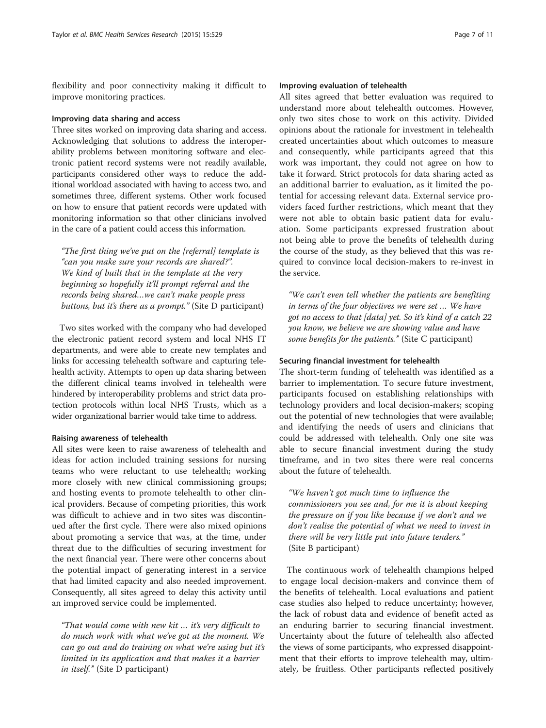flexibility and poor connectivity making it difficult to improve monitoring practices.

# Improving data sharing and access

Three sites worked on improving data sharing and access. Acknowledging that solutions to address the interoperability problems between monitoring software and electronic patient record systems were not readily available, participants considered other ways to reduce the additional workload associated with having to access two, and sometimes three, different systems. Other work focused on how to ensure that patient records were updated with monitoring information so that other clinicians involved in the care of a patient could access this information.

"The first thing we've put on the [referral] template is "can you make sure your records are shared?". We kind of built that in the template at the very beginning so hopefully it'll prompt referral and the records being shared…we can't make people press buttons, but it's there as a prompt." (Site D participant)

Two sites worked with the company who had developed the electronic patient record system and local NHS IT departments, and were able to create new templates and links for accessing telehealth software and capturing telehealth activity. Attempts to open up data sharing between the different clinical teams involved in telehealth were hindered by interoperability problems and strict data protection protocols within local NHS Trusts, which as a wider organizational barrier would take time to address.

# Raising awareness of telehealth

All sites were keen to raise awareness of telehealth and ideas for action included training sessions for nursing teams who were reluctant to use telehealth; working more closely with new clinical commissioning groups; and hosting events to promote telehealth to other clinical providers. Because of competing priorities, this work was difficult to achieve and in two sites was discontinued after the first cycle. There were also mixed opinions about promoting a service that was, at the time, under threat due to the difficulties of securing investment for the next financial year. There were other concerns about the potential impact of generating interest in a service that had limited capacity and also needed improvement. Consequently, all sites agreed to delay this activity until an improved service could be implemented.

"That would come with new kit … it's very difficult to do much work with what we've got at the moment. We can go out and do training on what we're using but it's limited in its application and that makes it a barrier in itself." (Site D participant)

# Improving evaluation of telehealth

All sites agreed that better evaluation was required to understand more about telehealth outcomes. However, only two sites chose to work on this activity. Divided opinions about the rationale for investment in telehealth created uncertainties about which outcomes to measure and consequently, while participants agreed that this work was important, they could not agree on how to take it forward. Strict protocols for data sharing acted as an additional barrier to evaluation, as it limited the potential for accessing relevant data. External service providers faced further restrictions, which meant that they were not able to obtain basic patient data for evaluation. Some participants expressed frustration about not being able to prove the benefits of telehealth during the course of the study, as they believed that this was required to convince local decision-makers to re-invest in the service.

"We can't even tell whether the patients are benefiting in terms of the four objectives we were set … We have got no access to that [data] yet. So it's kind of a catch 22 you know, we believe we are showing value and have some benefits for the patients." (Site C participant)

#### Securing financial investment for telehealth

The short-term funding of telehealth was identified as a barrier to implementation. To secure future investment, participants focused on establishing relationships with technology providers and local decision-makers; scoping out the potential of new technologies that were available; and identifying the needs of users and clinicians that could be addressed with telehealth. Only one site was able to secure financial investment during the study timeframe, and in two sites there were real concerns about the future of telehealth.

"We haven't got much time to influence the commissioners you see and, for me it is about keeping the pressure on if you like because if we don't and we don't realise the potential of what we need to invest in there will be very little put into future tenders." (Site B participant)

The continuous work of telehealth champions helped to engage local decision-makers and convince them of the benefits of telehealth. Local evaluations and patient case studies also helped to reduce uncertainty; however, the lack of robust data and evidence of benefit acted as an enduring barrier to securing financial investment. Uncertainty about the future of telehealth also affected the views of some participants, who expressed disappointment that their efforts to improve telehealth may, ultimately, be fruitless. Other participants reflected positively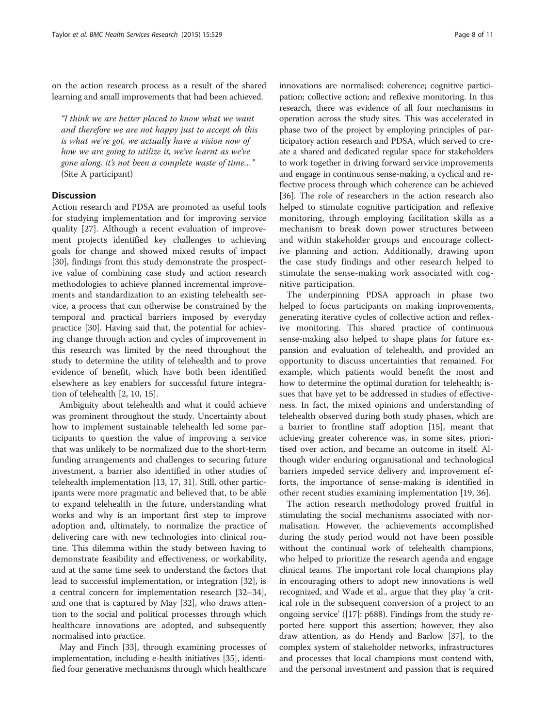on the action research process as a result of the shared learning and small improvements that had been achieved.

"I think we are better placed to know what we want and therefore we are not happy just to accept oh this is what we've got, we actually have a vision now of how we are going to utilize it, we've learnt as we've gone along, it's not been a complete waste of time…" (Site A participant)

# **Discussion**

Action research and PDSA are promoted as useful tools for studying implementation and for improving service quality [\[27\]](#page-9-0). Although a recent evaluation of improvement projects identified key challenges to achieving goals for change and showed mixed results of impact [[30\]](#page-9-0), findings from this study demonstrate the prospective value of combining case study and action research methodologies to achieve planned incremental improvements and standardization to an existing telehealth service, a process that can otherwise be constrained by the temporal and practical barriers imposed by everyday practice [[30\]](#page-9-0). Having said that, the potential for achieving change through action and cycles of improvement in this research was limited by the need throughout the study to determine the utility of telehealth and to prove evidence of benefit, which have both been identified elsewhere as key enablers for successful future integration of telehealth [[2](#page-9-0), [10](#page-9-0), [15](#page-9-0)].

Ambiguity about telehealth and what it could achieve was prominent throughout the study. Uncertainty about how to implement sustainable telehealth led some participants to question the value of improving a service that was unlikely to be normalized due to the short-term funding arrangements and challenges to securing future investment, a barrier also identified in other studies of telehealth implementation [\[13, 17, 31\]](#page-9-0). Still, other participants were more pragmatic and believed that, to be able to expand telehealth in the future, understanding what works and why is an important first step to improve adoption and, ultimately, to normalize the practice of delivering care with new technologies into clinical routine. This dilemma within the study between having to demonstrate feasibility and effectiveness, or workability, and at the same time seek to understand the factors that lead to successful implementation, or integration [[32\]](#page-9-0), is a central concern for implementation research [[32](#page-9-0)–[34](#page-10-0)], and one that is captured by May [[32](#page-9-0)], who draws attention to the social and political processes through which healthcare innovations are adopted, and subsequently normalised into practice.

May and Finch [[33](#page-9-0)], through examining processes of implementation, including e-health initiatives [\[35\]](#page-10-0), identified four generative mechanisms through which healthcare

innovations are normalised: coherence; cognitive participation; collective action; and reflexive monitoring. In this research, there was evidence of all four mechanisms in operation across the study sites. This was accelerated in phase two of the project by employing principles of participatory action research and PDSA, which served to create a shared and dedicated regular space for stakeholders to work together in driving forward service improvements and engage in continuous sense-making, a cyclical and reflective process through which coherence can be achieved [[36](#page-10-0)]. The role of researchers in the action research also helped to stimulate cognitive participation and reflexive monitoring, through employing facilitation skills as a mechanism to break down power structures between and within stakeholder groups and encourage collective planning and action. Additionally, drawing upon the case study findings and other research helped to stimulate the sense-making work associated with cognitive participation.

The underpinning PDSA approach in phase two helped to focus participants on making improvements, generating iterative cycles of collective action and reflexive monitoring. This shared practice of continuous sense-making also helped to shape plans for future expansion and evaluation of telehealth, and provided an opportunity to discuss uncertainties that remained. For example, which patients would benefit the most and how to determine the optimal duration for telehealth; issues that have yet to be addressed in studies of effectiveness. In fact, the mixed opinions and understanding of telehealth observed during both study phases, which are a barrier to frontline staff adoption [\[15](#page-9-0)], meant that achieving greater coherence was, in some sites, prioritised over action, and became an outcome in itself. Although wider enduring organisational and technological barriers impeded service delivery and improvement efforts, the importance of sense-making is identified in other recent studies examining implementation [\[19](#page-9-0), [36](#page-10-0)].

The action research methodology proved fruitful in stimulating the social mechanisms associated with normalisation. However, the achievements accomplished during the study period would not have been possible without the continual work of telehealth champions, who helped to prioritize the research agenda and engage clinical teams. The important role local champions play in encouraging others to adopt new innovations is well recognized, and Wade et al., argue that they play 'a critical role in the subsequent conversion of a project to an ongoing service' ([[17\]](#page-9-0): p688). Findings from the study reported here support this assertion; however, they also draw attention, as do Hendy and Barlow [\[37\]](#page-10-0), to the complex system of stakeholder networks, infrastructures and processes that local champions must contend with, and the personal investment and passion that is required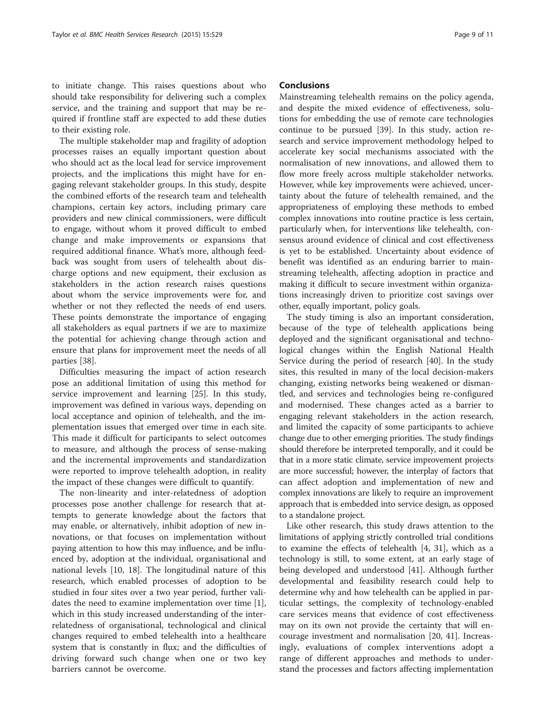to initiate change. This raises questions about who should take responsibility for delivering such a complex service, and the training and support that may be required if frontline staff are expected to add these duties to their existing role.

The multiple stakeholder map and fragility of adoption processes raises an equally important question about who should act as the local lead for service improvement projects, and the implications this might have for engaging relevant stakeholder groups. In this study, despite the combined efforts of the research team and telehealth champions, certain key actors, including primary care providers and new clinical commissioners, were difficult to engage, without whom it proved difficult to embed change and make improvements or expansions that required additional finance. What's more, although feedback was sought from users of telehealth about discharge options and new equipment, their exclusion as stakeholders in the action research raises questions about whom the service improvements were for, and whether or not they reflected the needs of end users. These points demonstrate the importance of engaging all stakeholders as equal partners if we are to maximize the potential for achieving change through action and ensure that plans for improvement meet the needs of all parties [\[38\]](#page-10-0).

Difficulties measuring the impact of action research pose an additional limitation of using this method for service improvement and learning [[25\]](#page-9-0). In this study, improvement was defined in various ways, depending on local acceptance and opinion of telehealth, and the implementation issues that emerged over time in each site. This made it difficult for participants to select outcomes to measure, and although the process of sense-making and the incremental improvements and standardization were reported to improve telehealth adoption, in reality the impact of these changes were difficult to quantify.

The non-linearity and inter-relatedness of adoption processes pose another challenge for research that attempts to generate knowledge about the factors that may enable, or alternatively, inhibit adoption of new innovations, or that focuses on implementation without paying attention to how this may influence, and be influenced by, adoption at the individual, organisational and national levels [[10, 18\]](#page-9-0). The longitudinal nature of this research, which enabled processes of adoption to be studied in four sites over a two year period, further validates the need to examine implementation over time [\[1](#page-9-0)], which in this study increased understanding of the interrelatedness of organisational, technological and clinical changes required to embed telehealth into a healthcare system that is constantly in flux; and the difficulties of driving forward such change when one or two key barriers cannot be overcome.

# Conclusions

Mainstreaming telehealth remains on the policy agenda, and despite the mixed evidence of effectiveness, solutions for embedding the use of remote care technologies continue to be pursued [\[39](#page-10-0)]. In this study, action research and service improvement methodology helped to accelerate key social mechanisms associated with the normalisation of new innovations, and allowed them to flow more freely across multiple stakeholder networks. However, while key improvements were achieved, uncertainty about the future of telehealth remained, and the appropriateness of employing these methods to embed complex innovations into routine practice is less certain, particularly when, for interventions like telehealth, consensus around evidence of clinical and cost effectiveness is yet to be established. Uncertainty about evidence of benefit was identified as an enduring barrier to mainstreaming telehealth, affecting adoption in practice and making it difficult to secure investment within organizations increasingly driven to prioritize cost savings over other, equally important, policy goals.

The study timing is also an important consideration, because of the type of telehealth applications being deployed and the significant organisational and technological changes within the English National Health Service during the period of research [\[40](#page-10-0)]. In the study sites, this resulted in many of the local decision-makers changing, existing networks being weakened or dismantled, and services and technologies being re-configured and modernised. These changes acted as a barrier to engaging relevant stakeholders in the action research, and limited the capacity of some participants to achieve change due to other emerging priorities. The study findings should therefore be interpreted temporally, and it could be that in a more static climate, service improvement projects are more successful; however, the interplay of factors that can affect adoption and implementation of new and complex innovations are likely to require an improvement approach that is embedded into service design, as opposed to a standalone project.

Like other research, this study draws attention to the limitations of applying strictly controlled trial conditions to examine the effects of telehealth [\[4](#page-9-0), [31](#page-9-0)], which as a technology is still, to some extent, at an early stage of being developed and understood [[41](#page-10-0)]. Although further developmental and feasibility research could help to determine why and how telehealth can be applied in particular settings, the complexity of technology-enabled care services means that evidence of cost effectiveness may on its own not provide the certainty that will encourage investment and normalisation [[20,](#page-9-0) [41](#page-10-0)]. Increasingly, evaluations of complex interventions adopt a range of different approaches and methods to understand the processes and factors affecting implementation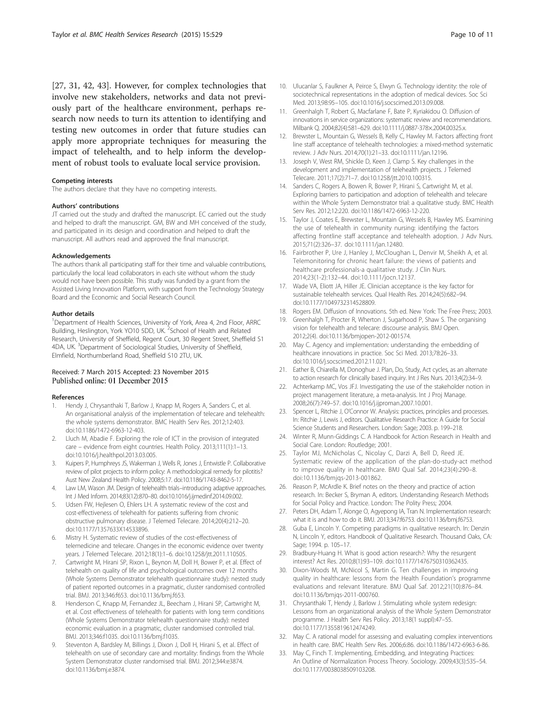<span id="page-9-0"></span>[27, 31, [42, 43](#page-10-0)]. However, for complex technologies that involve new stakeholders, networks and data not previously part of the healthcare environment, perhaps research now needs to turn its attention to identifying and testing new outcomes in order that future studies can apply more appropriate techniques for measuring the impact of telehealth, and to help inform the development of robust tools to evaluate local service provision.

#### Competing interests

The authors declare that they have no competing interests.

#### Authors' contributions

JT carried out the study and drafted the manuscript. EC carried out the study and helped to draft the manuscript. GM, BW and MH conceived of the study, and participated in its design and coordination and helped to draft the manuscript. All authors read and approved the final manuscript.

#### Acknowledgements

The authors thank all participating staff for their time and valuable contributions, particularly the local lead collaborators in each site without whom the study would not have been possible. This study was funded by a grant from the Assisted Living Innovation Platform, with support from the Technology Strategy Board and the Economic and Social Research Council.

#### Author details

<sup>1</sup>Department of Health Sciences, University of York, Area 4, 2nd Floor, ARRC Building, Heslington, York YO10 5DD, UK. <sup>2</sup>School of Health and Related Research, University of Sheffield, Regent Court, 30 Regent Street, Sheffield S1 4DA, UK. <sup>3</sup>Department of Sociological Studies, University of Sheffield, Elmfield, Northumberland Road, Sheffield S10 2TU, UK.

# Received: 7 March 2015 Accepted: 23 November 2015 Published online: 01 December 2015

#### References

- 1. Hendy J, Chrysanthaki T, Barlow J, Knapp M, Rogers A, Sanders C, et al. An organisational analysis of the implementation of telecare and telehealth: the whole systems demonstrator. BMC Health Serv Res. 2012;12:403. doi[:10.1186/1472-6963-12-403.](http://dx.doi.org/10.1186/1472-6963-12-403)
- 2. Lluch M, Abadie F. Exploring the role of ICT in the provision of integrated care – evidence from eight countries. Health Policy. 2013;111(1):1–13. doi[:10.1016/j.healthpol.2013.03.005.](http://dx.doi.org/10.1016/j.healthpol.2013.03.005)
- 3. Kuipers P, Humphreys JS, Wakerman J, Wells R, Jones J, Entwistle P. Collaborative review of pilot projects to inform policy: A methodological remedy for pilotitis? Aust New Zealand Health Policy. 2008;5:17. doi[:10.1186/1743-8462-5-17](http://dx.doi.org/10.1186/1743-8462-5-17).
- 4. Law LM, Wason JM. Design of telehealth trials–introducing adaptive approaches. Int J Med Inform. 2014;83(12):870–80. doi[:10.1016/j.ijmedinf.2014.09.002.](http://dx.doi.org/10.1016/j.ijmedinf.2014.09.002)
- 5. Udsen FW, Hejlesen O, Ehlers LH. A systematic review of the cost and cost-effectiveness of telehealth for patients suffering from chronic obstructive pulmonary disease. J Telemed Telecare. 2014;20(4):212–20. doi[:10.1177/1357633X14533896](http://dx.doi.org/10.1177/1357633X14533896).
- 6. Mistry H. Systematic review of studies of the cost-effectiveness of telemedicine and telecare. Changes in the economic evidence over twenty years. J Telemed Telecare. 2012;18(1):1–6. doi[:10.1258/jtt.2011.110505.](http://dx.doi.org/10.1258/jtt.2011.110505)
- 7. Cartwright M, Hirani SP, Rixon L, Beynon M, Doll H, Bower P, et al. Effect of telehealth on quality of life and psychological outcomes over 12 months (Whole Systems Demonstrator telehealth questionnaire study): nested study of patient reported outcomes in a pragmatic, cluster randomised controlled trial. BMJ. 2013;346:f653. doi[:10.1136/bmj.f653.](http://dx.doi.org/10.1136/bmj.f653)
- 8. Henderson C, Knapp M, Fernandez JL, Beecham J, Hirani SP, Cartwright M, et al. Cost effectiveness of telehealth for patients with long term conditions (Whole Systems Demonstrator telehealth questionnaire study): nested economic evaluation in a pragmatic, cluster randomised controlled trial. BMJ. 2013;346:f1035. doi:[10.1136/bmj.f1035.](http://dx.doi.org/10.1136/bmj.f1035)
- Steventon A, Bardsley M, Billings J, Dixon J, Doll H, Hirani S, et al. Effect of telehealth on use of secondary care and mortality: findings from the Whole System Demonstrator cluster randomised trial. BMJ. 2012;344:e3874. doi[:10.1136/bmj.e3874](http://dx.doi.org/10.1136/bmj.e3874).
- 10. Ulucanlar S, Faulkner A, Peirce S, Elwyn G. Technology identity: the role of sociotechnical representations in the adoption of medical devices. Soc Sci Med. 2013;98:95–105. doi:[10.1016/j.socscimed.2013.09.008.](http://dx.doi.org/10.1016/j.socscimed.2013.09.008)
- 11. Greenhalgh T, Robert G, Macfarlane F, Bate P, Kyriakidou O. Diffusion of innovations in service organizations: systematic review and recommendations. Milbank Q. 2004;82(4):581–629. doi[:10.1111/j.0887-378×.2004.00325.x.](http://dx.doi.org/10.1111/j.0887-378%C3%97.2004.00325.x)
- 12. Brewster L, Mountain G, Wessels B, Kelly C, Hawley M. Factors affecting front line staff acceptance of telehealth technologies: a mixed-method systematic review. J Adv Nurs. 2014;70(1):21–33. doi:[10.1111/jan.12196.](http://dx.doi.org/10.1111/jan.12196)
- 13. Joseph V, West RM, Shickle D, Keen J, Clamp S. Key challenges in the development and implementation of telehealth projects. J Telemed Telecare. 2011;17(2):71–7. doi:[10.1258/jtt.2010.100315](http://dx.doi.org/10.1258/jtt.2010.100315).
- 14. Sanders C, Rogers A, Bowen R, Bower P, Hirani S, Cartwright M, et al. Exploring barriers to participation and adoption of telehealth and telecare within the Whole System Demonstrator trial: a qualitative study. BMC Health Serv Res. 2012;12:220. doi[:10.1186/1472-6963-12-220](http://dx.doi.org/10.1186/1472-6963-12-220).
- 15. Taylor J, Coates E, Brewster L, Mountain G, Wessels B, Hawley MS. Examining the use of telehealth in community nursing: identifying the factors affecting frontline staff acceptance and telehealth adoption. J Adv Nurs. 2015;71(2):326–37. doi:[10.1111/jan.12480](http://dx.doi.org/10.1111/jan.12480).
- 16. Fairbrother P, Ure J, Hanley J, McCloughan L, Denvir M, Sheikh A, et al. Telemonitoring for chronic heart failure: the views of patients and healthcare professionals-a qualitative study. J Clin Nurs. 2014;23(1-2):132–44. doi:[10.1111/jocn.12137.](http://dx.doi.org/10.1111/jocn.12137)
- 17. Wade VA, Eliott JA, Hiller JE. Clinician acceptance is the key factor for sustainable telehealth services. Qual Health Res. 2014;24(5):682–94. doi[:10.1177/1049732314528809.](http://dx.doi.org/10.1177/1049732314528809)
- 18. Rogers EM. Diffusion of Innovations. 5th ed. New York: The Free Press; 2003.
- 19. Greenhalgh T, Procter R, Wherton J, Sugarhood P, Shaw S. The organising vision for telehealth and telecare: discourse analysis. BMJ Open. 2012;2(4). doi:[10.1136/bmjopen-2012-001574](http://dx.doi.org/10.1136/bmjopen-2012-001574).
- 20. May C. Agency and implementation: understanding the embedding of healthcare innovations in practice. Soc Sci Med. 2013;78:26–33. doi[:10.1016/j.socscimed.2012.11.021.](http://dx.doi.org/10.1016/j.socscimed.2012.11.021)
- 21. Eather B, Chiarella M, Donoghue J. Plan, Do, Study, Act cycles, as an alternate to action research for clinically based inquiry. Int J Res Nurs. 2013;4(2):34–9.
- 22. Achterkamp MC, Vos JFJ. Investigating the use of the stakeholder notion in project management literature, a meta-analysis. Int J Proj Manage. 2008;26(7):749–57. doi:[10.1016/j.ijproman.2007.10.001](http://dx.doi.org/10.1016/j.ijproman.2007.10.001).
- 23. Spencer L, Ritchie J, O'Connor W. Analysis: practices, principles and processes. In: Ritchie J, Lewis J, editors. Qualitative Research Practice: A Guide for Social Science Students and Researchers. London: Sage; 2003. p. 199–218.
- 24. Winter R, Munn-Giddings C. A Handbook for Action Research in Health and Social Care. London: Routledge; 2001.
- 25. Taylor MJ, McNicholas C, Nicolay C, Darzi A, Bell D, Reed JE. Systematic review of the application of the plan-do-study-act method to improve quality in healthcare. BMJ Qual Saf. 2014;23(4):290–8. doi:[10.1136/bmjqs-2013-001862.](http://dx.doi.org/10.1136/bmjqs-2013-001862)
- 26. Reason P, McArdle K. Brief notes on the theory and practice of action research. In: Becker S, Bryman A, editors. Understanding Research Methods for Social Policy and Practice. London: The Polity Press; 2004.
- 27. Peters DH, Adam T, Alonge O, Agyepong IA, Tran N. Implementation research: what it is and how to do it. BMJ. 2013;347:f6753. doi:[10.1136/bmj.f6753](http://dx.doi.org/10.1136/bmj.f6753).
- 28. Guba E, Lincoln Y. Competing paradigms in qualitative research. In: Denzin N, Lincoln Y, editors. Handbook of Qualitative Research. Thousand Oaks, CA: Sage; 1994. p. 105–17.
- 29. Bradbury-Huang H. What is good action research?: Why the resurgent interest? Act Res. 2010;8(1):93–109. doi:[10.1177/1476750310362435.](http://dx.doi.org/10.1177/1476750310362435)
- 30. Dixon-Woods M, McNicol S, Martin G. Ten challenges in improving quality in healthcare: lessons from the Health Foundation's programme evaluations and relevant literature. BMJ Qual Saf. 2012;21(10):876–84. doi[:10.1136/bmjqs-2011-000760.](http://dx.doi.org/10.1136/bmjqs-2011-000760)
- 31. Chrysanthaki T, Hendy J, Barlow J. Stimulating whole system redesign: Lessons from an organizational analysis of the Whole System Demonstrator programme. J Health Serv Res Policy. 2013;18(1 suppl):47–55. doi[:10.1177/1355819612474249.](http://dx.doi.org/10.1177/1355819612474249)
- 32. May C. A rational model for assessing and evaluating complex interventions in health care. BMC Health Serv Res. 2006;6:86. doi:[10.1186/1472-6963-6-86.](http://dx.doi.org/10.1186/1472-6963-6-86)
- 33. May C, Finch T. Implementing, Embedding, and Integrating Practices: An Outline of Normalization Process Theory. Sociology. 2009;43(3):535–54. doi[:10.1177/0038038509103208.](http://dx.doi.org/10.1177/0038038509103208)